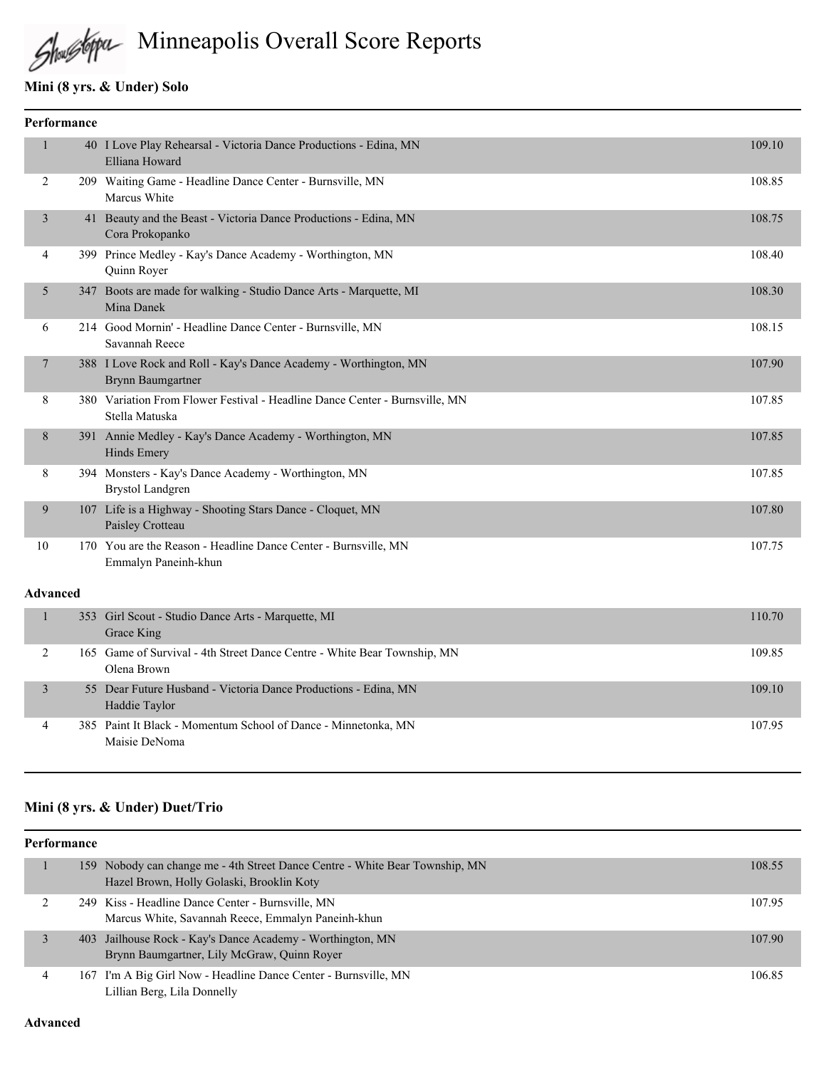# Minneapolis Overall Score Reports

#### **Mini (8 yrs. & Under) Solo**

|                | Performance |                                                                                               |        |
|----------------|-------------|-----------------------------------------------------------------------------------------------|--------|
| 1              |             | 40 I Love Play Rehearsal - Victoria Dance Productions - Edina, MN<br>Elliana Howard           | 109.10 |
| 2              |             | 209 Waiting Game - Headline Dance Center - Burnsville, MN<br>Marcus White                     | 108.85 |
| 3              |             | 41 Beauty and the Beast - Victoria Dance Productions - Edina, MN<br>Cora Prokopanko           | 108.75 |
| $\overline{4}$ |             | 399 Prince Medley - Kay's Dance Academy - Worthington, MN<br>Quinn Royer                      | 108.40 |
| 5              |             | 347 Boots are made for walking - Studio Dance Arts - Marquette, MI<br>Mina Danek              | 108.30 |
| 6              |             | 214 Good Mornin' - Headline Dance Center - Burnsville, MN<br>Savannah Reece                   | 108.15 |
| 7              |             | 388 I Love Rock and Roll - Kay's Dance Academy - Worthington, MN<br><b>Brynn Baumgartner</b>  | 107.90 |
| 8              |             | 380 Variation From Flower Festival - Headline Dance Center - Burnsville, MN<br>Stella Matuska | 107.85 |
| 8              |             | 391 Annie Medley - Kay's Dance Academy - Worthington, MN<br>Hinds Emery                       | 107.85 |
| 8              |             | 394 Monsters - Kay's Dance Academy - Worthington, MN<br><b>Brystol Landgren</b>               | 107.85 |
| 9              |             | 107 Life is a Highway - Shooting Stars Dance - Cloquet, MN<br>Paisley Crotteau                | 107.80 |
| 10             |             | 170 You are the Reason - Headline Dance Center - Burnsville, MN<br>Emmalyn Paneinh-khun       | 107.75 |
| Advanced       |             |                                                                                               |        |
| $\mathbf{1}$   | 353         | Girl Scout - Studio Dance Arts - Marquette, MI<br>Grace King                                  | 110.70 |

|  | Grace King                                                                              |        |
|--|-----------------------------------------------------------------------------------------|--------|
|  | 165 Game of Survival - 4th Street Dance Centre - White Bear Township, MN<br>Olena Brown | 109.85 |
|  | 55 Dear Future Husband - Victoria Dance Productions - Edina, MN<br>Haddie Taylor        | 109.10 |
|  | 385 Paint It Black - Momentum School of Dance - Minnetonka, MN<br>Maisie DeNoma         | 107.95 |

### **Mini (8 yrs. & Under) Duet/Trio**

| Performance |                                                                                                                           |        |  |  |
|-------------|---------------------------------------------------------------------------------------------------------------------------|--------|--|--|
|             | 159 Nobody can change me - 4th Street Dance Centre - White Bear Township, MN<br>Hazel Brown, Holly Golaski, Brooklin Koty | 108.55 |  |  |
|             | 249 Kiss - Headline Dance Center - Burnsville, MN<br>Marcus White, Savannah Reece, Emmalyn Paneinh-khun                   | 107.95 |  |  |
|             | 403 Jailhouse Rock - Kay's Dance Academy - Worthington, MN<br>Brynn Baumgartner, Lily McGraw, Quinn Royer                 | 107.90 |  |  |
|             | 167 I'm A Big Girl Now - Headline Dance Center - Burnsville, MN<br>Lillian Berg, Lila Donnelly                            | 106.85 |  |  |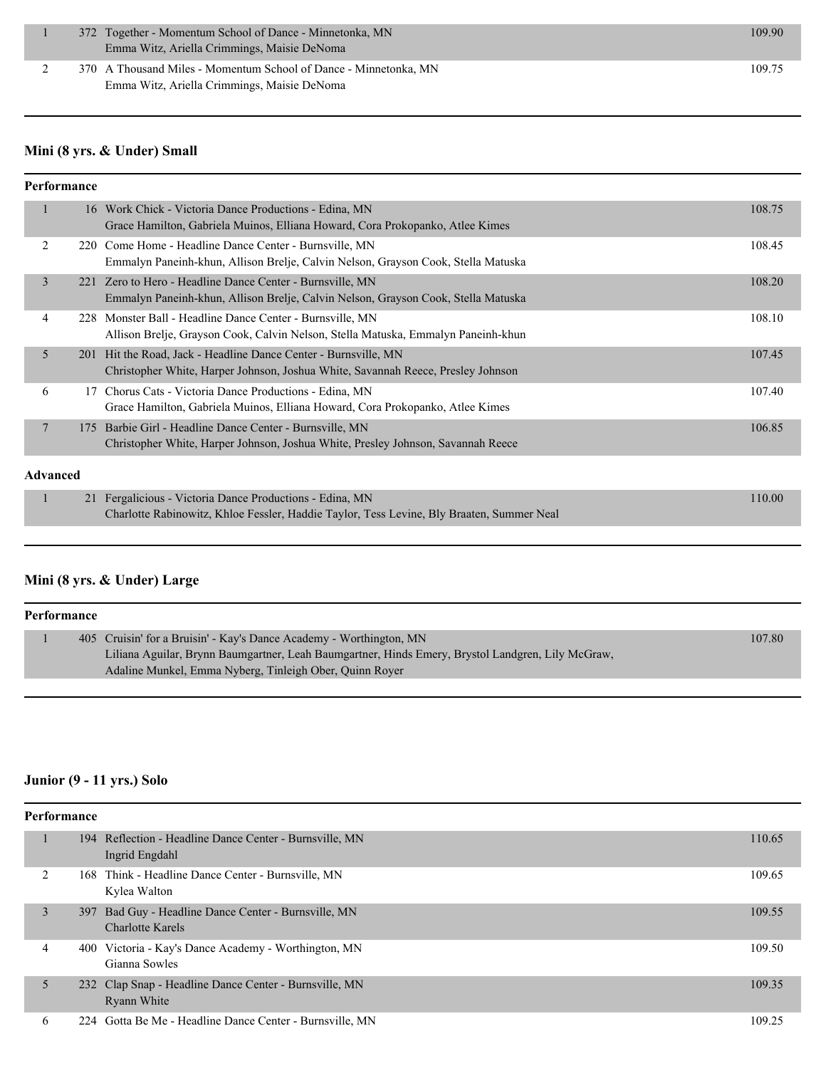| 372 Together - Momentum School of Dance - Minnetonka, MN         | 109.90 |
|------------------------------------------------------------------|--------|
| Emma Witz, Ariella Crimmings, Maisie DeNoma                      |        |
| 370 A Thousand Miles - Momentum School of Dance - Minnetonka, MN | 109.75 |

Emma Witz, Ariella Crimmings, Maisie DeNoma

#### **Mini (8 yrs. & Under) Small**

#### **Performance**

|                 |  | 16 Work Chick - Victoria Dance Productions - Edina, MN                                    | 108.75 |
|-----------------|--|-------------------------------------------------------------------------------------------|--------|
|                 |  | Grace Hamilton, Gabriela Muinos, Elliana Howard, Cora Prokopanko, Atlee Kimes             |        |
|                 |  |                                                                                           |        |
| 2               |  | 220 Come Home - Headline Dance Center - Burnsville, MN                                    | 108.45 |
|                 |  | Emmalyn Paneinh-khun, Allison Brelje, Calvin Nelson, Grayson Cook, Stella Matuska         |        |
| 3               |  | 221 Zero to Hero - Headline Dance Center - Burnsville, MN                                 | 108.20 |
|                 |  |                                                                                           |        |
|                 |  | Emmalyn Paneinh-khun, Allison Brelje, Calvin Nelson, Grayson Cook, Stella Matuska         |        |
| 4               |  | 228 Monster Ball - Headline Dance Center - Burnsville, MN                                 | 108.10 |
|                 |  | Allison Brelje, Grayson Cook, Calvin Nelson, Stella Matuska, Emmalyn Paneinh-khun         |        |
|                 |  |                                                                                           |        |
| 5               |  | 201 Hit the Road, Jack - Headline Dance Center - Burnsville, MN                           | 107.45 |
|                 |  | Christopher White, Harper Johnson, Joshua White, Savannah Reece, Presley Johnson          |        |
| 6               |  | 17 Chorus Cats - Victoria Dance Productions - Edina, MN                                   | 107.40 |
|                 |  | Grace Hamilton, Gabriela Muinos, Elliana Howard, Cora Prokopanko, Atlee Kimes             |        |
|                 |  |                                                                                           |        |
| 7               |  | 175 Barbie Girl - Headline Dance Center - Burnsville, MN                                  | 106.85 |
|                 |  | Christopher White, Harper Johnson, Joshua White, Presley Johnson, Savannah Reece          |        |
|                 |  |                                                                                           |        |
| <b>Advanced</b> |  |                                                                                           |        |
|                 |  |                                                                                           |        |
| п               |  | 21 Fergalicious - Victoria Dance Productions - Edina, MN                                  | 110.00 |
|                 |  | Charlotte Rabinowitz, Khloe Fessler, Haddie Taylor, Tess Levine, Bly Braaten, Summer Neal |        |
|                 |  |                                                                                           |        |

#### **Mini (8 yrs. & Under) Large**

| Performance |  |                                                                                                   |        |
|-------------|--|---------------------------------------------------------------------------------------------------|--------|
|             |  | 405 Cruisin' for a Bruisin' - Kay's Dance Academy - Worthington, MN                               | 107.80 |
|             |  | Liliana Aguilar, Brynn Baumgartner, Leah Baumgartner, Hinds Emery, Brystol Landgren, Lily McGraw, |        |
|             |  | Adaline Munkel, Emma Nyberg, Tinleigh Ober, Quinn Royer                                           |        |

### **Junior (9 - 11 yrs.) Solo**

|                | Performance |                                                                                 |        |  |  |
|----------------|-------------|---------------------------------------------------------------------------------|--------|--|--|
|                |             | 194 Reflection - Headline Dance Center - Burnsville, MN<br>Ingrid Engdahl       | 110.65 |  |  |
| $\overline{c}$ |             | 168 Think - Headline Dance Center - Burnsville, MN<br>Kylea Walton              | 109.65 |  |  |
| 3              |             | 397 Bad Guy - Headline Dance Center - Burnsville, MN<br><b>Charlotte Karels</b> | 109.55 |  |  |
| 4              |             | 400 Victoria - Kay's Dance Academy - Worthington, MN<br>Gianna Sowles           | 109.50 |  |  |
| 5              |             | 232 Clap Snap - Headline Dance Center - Burnsville, MN<br>Ryann White           | 109.35 |  |  |
| 6              |             | 224 Gotta Be Me - Headline Dance Center - Burnsville, MN                        | 109.25 |  |  |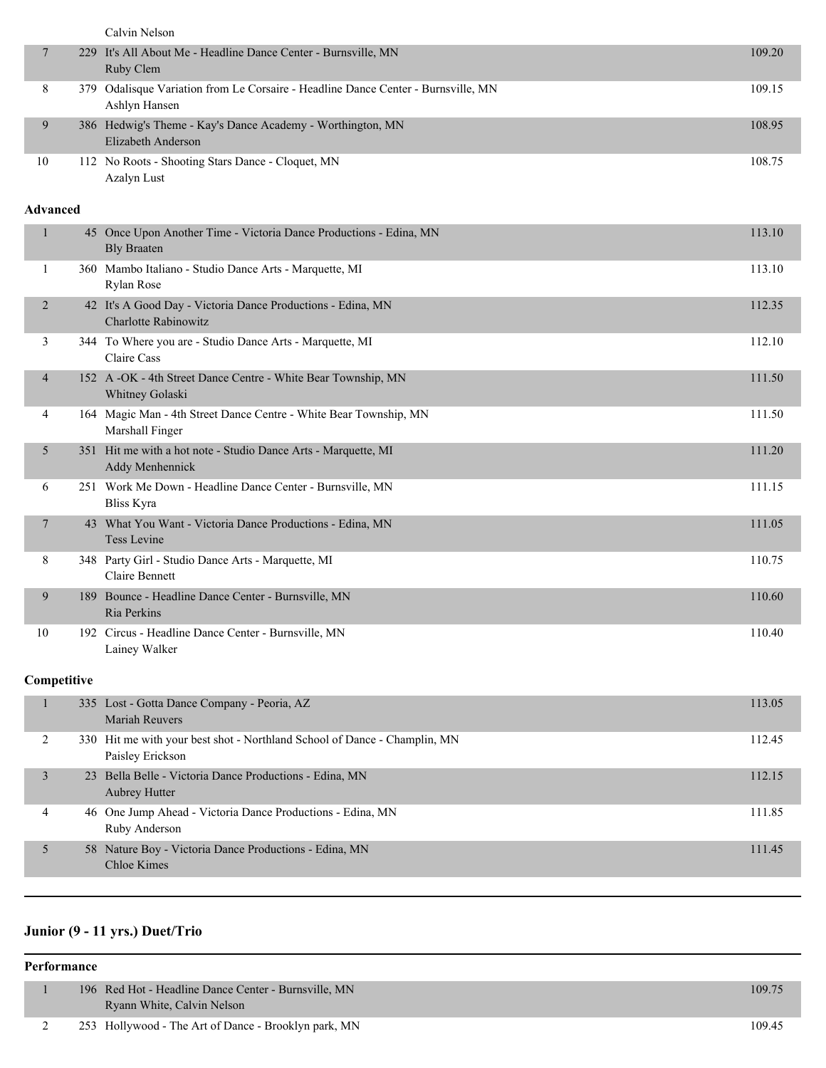|                 | Calvin Nelson                                                                                      |        |
|-----------------|----------------------------------------------------------------------------------------------------|--------|
| 7               | 229 It's All About Me - Headline Dance Center - Burnsville, MN<br>Ruby Clem                        | 109.20 |
| 8               | 379 Odalisque Variation from Le Corsaire - Headline Dance Center - Burnsville, MN<br>Ashlyn Hansen | 109.15 |
| 9               | 386 Hedwig's Theme - Kay's Dance Academy - Worthington, MN<br>Elizabeth Anderson                   | 108.95 |
| 10              | 112 No Roots - Shooting Stars Dance - Cloquet, MN<br>Azalyn Lust                                   | 108.75 |
| <b>Advanced</b> |                                                                                                    |        |
| $\mathbf{1}$    | 45 Once Upon Another Time - Victoria Dance Productions - Edina, MN<br><b>Bly Braaten</b>           | 113.10 |
| 1               | 360 Mambo Italiano - Studio Dance Arts - Marquette, MI<br>Rylan Rose                               | 113.10 |
| $\overline{2}$  | 42 It's A Good Day - Victoria Dance Productions - Edina, MN<br>Charlotte Rabinowitz                | 112.35 |
| 3               | 344 To Where you are - Studio Dance Arts - Marquette, MI<br>Claire Cass                            | 112.10 |
| $\overline{4}$  | 152 A -OK - 4th Street Dance Centre - White Bear Township, MN<br>Whitney Golaski                   | 111.50 |
| 4               | 164 Magic Man - 4th Street Dance Centre - White Bear Township, MN<br>Marshall Finger               | 111.50 |
| 5               | 351 Hit me with a hot note - Studio Dance Arts - Marquette, MI<br>Addy Menhennick                  | 111.20 |
| 6               | 251 Work Me Down - Headline Dance Center - Burnsville, MN<br><b>Bliss Kyra</b>                     | 111.15 |
| 7               | 43 What You Want - Victoria Dance Productions - Edina, MN<br>Tess Levine                           | 111.05 |
| 8               | 348 Party Girl - Studio Dance Arts - Marquette, MI<br>Claire Bennett                               | 110.75 |
| 9               | 189 Bounce - Headline Dance Center - Burnsville, MN<br>Ria Perkins                                 | 110.60 |
| 10              | 192 Circus - Headline Dance Center - Burnsville, MN<br>Lainey Walker                               | 110.40 |
| Competitive     |                                                                                                    |        |
| $\mathbf{1}$    | 335 Lost - Gotta Dance Company - Peoria, AZ<br>Mariah Reuvers                                      | 113.05 |
| 2               | 330 Hit me with your best shot - Northland School of Dance - Champlin, MN<br>Paisley Erickson      | 112.45 |
| 3               | 23 Bella Belle - Victoria Dance Productions - Edina, MN<br>Aubrey Hutter                           | 112.15 |
| 4               | 46 One Jump Ahead - Victoria Dance Productions - Edina, MN<br>Ruby Anderson                        | 111.85 |
| 5               | 58 Nature Boy - Victoria Dance Productions - Edina, MN<br><b>Chloe Kimes</b>                       | 111.45 |
|                 |                                                                                                    |        |

# **Junior (9 - 11 yrs.) Duet/Trio**

| Performance |  |  |                                                                                    |        |
|-------------|--|--|------------------------------------------------------------------------------------|--------|
|             |  |  | 196 Red Hot - Headline Dance Center - Burnsville, MN<br>Ryann White, Calvin Nelson | 109.75 |
|             |  |  | 253 Hollywood - The Art of Dance - Brooklyn park, MN                               | 109.45 |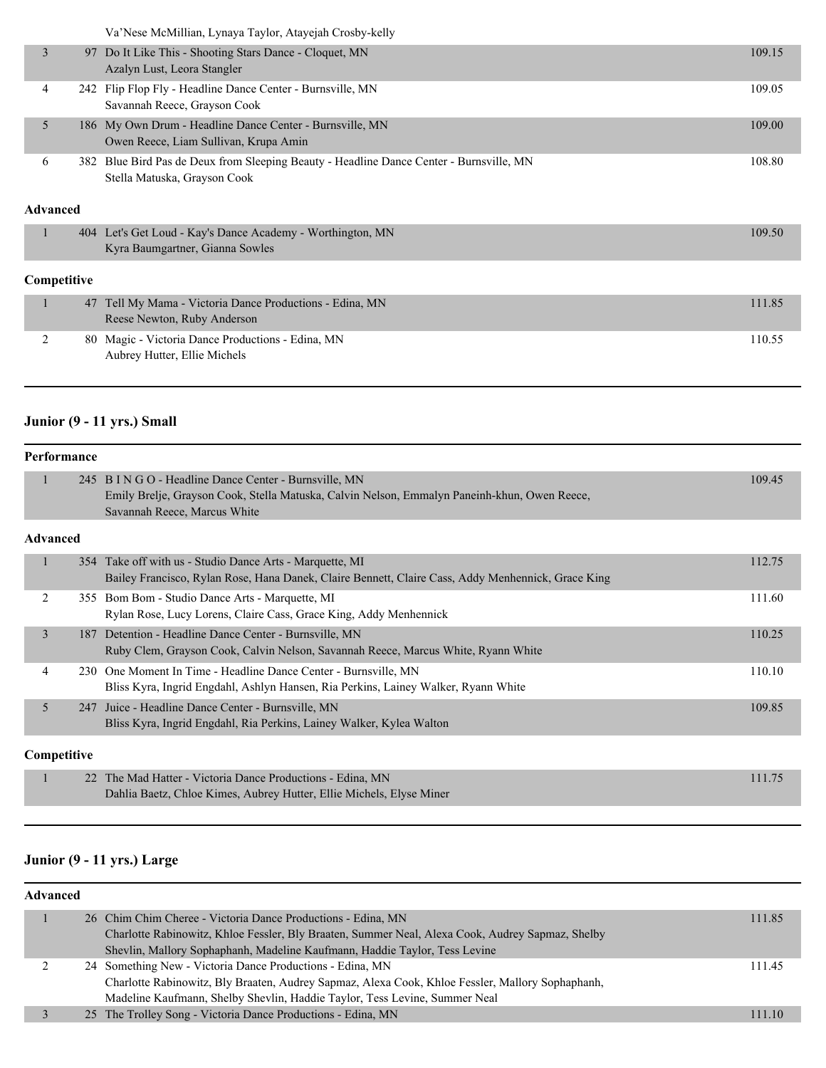Va'Nese McMillian, Lynaya Taylor, Atayejah Crosby-kelly

|   |                | Va Nese McMillian, Lynaya Taylor, Atayejah Crosby-kelly                                                             |        |
|---|----------------|---------------------------------------------------------------------------------------------------------------------|--------|
|   | $\overline{3}$ | 97 Do It Like This - Shooting Stars Dance - Cloquet, MN<br>Azalyn Lust, Leora Stangler                              | 109.15 |
|   | 4              | 242 Flip Flop Fly - Headline Dance Center - Burnsville, MN<br>Savannah Reece, Grayson Cook                          | 109.05 |
|   | 5              | 186 My Own Drum - Headline Dance Center - Burnsville, MN<br>Owen Reece, Liam Sullivan, Krupa Amin                   | 109.00 |
|   | 382.<br>6      | Blue Bird Pas de Deux from Sleeping Beauty - Headline Dance Center - Burnsville, MN<br>Stella Matuska, Grayson Cook | 108.80 |
|   | Advanced       |                                                                                                                     |        |
| п | 404            | Let's Get Loud - Kay's Dance Academy - Worthington, MN<br>Kyra Baumgartner, Gianna Sowles                           | 109.50 |
|   | Competitive    |                                                                                                                     |        |
|   | 47             | Tell My Mama - Victoria Dance Productions - Edina, MN<br>Reese Newton, Ruby Anderson                                | 111.85 |
|   | 2<br>80        | Magic - Victoria Dance Productions - Edina, MN<br>Aubrey Hutter, Ellie Michels                                      | 110.55 |

### **Junior (9 - 11 yrs.) Small**

|                 | <b>Performance</b> |                                                                                                                                                                                        |        |  |
|-----------------|--------------------|----------------------------------------------------------------------------------------------------------------------------------------------------------------------------------------|--------|--|
| ۰               |                    | 245 B I N G O - Headline Dance Center - Burnsville, MN<br>Emily Brelje, Grayson Cook, Stella Matuska, Calvin Nelson, Emmalyn Paneinh-khun, Owen Reece,<br>Savannah Reece, Marcus White | 109.45 |  |
| <b>Advanced</b> |                    |                                                                                                                                                                                        |        |  |
| 1               |                    | 354 Take off with us - Studio Dance Arts - Marquette, MI<br>Bailey Francisco, Rylan Rose, Hana Danek, Claire Bennett, Claire Cass, Addy Menhennick, Grace King                         | 112.75 |  |
| 2               |                    | 355 Bom Bom - Studio Dance Arts - Marquette, MI<br>Rylan Rose, Lucy Lorens, Claire Cass, Grace King, Addy Menhennick                                                                   | 111.60 |  |
| 3               | 187                | Detention - Headline Dance Center - Burnsville, MN<br>Ruby Clem, Grayson Cook, Calvin Nelson, Savannah Reece, Marcus White, Ryann White                                                | 110.25 |  |
| 4               | 230                | One Moment In Time - Headline Dance Center - Burnsville, MN<br>Bliss Kyra, Ingrid Engdahl, Ashlyn Hansen, Ria Perkins, Lainey Walker, Ryann White                                      | 110.10 |  |
| 5               | 247                | Juice - Headline Dance Center - Burnsville, MN<br>Bliss Kyra, Ingrid Engdahl, Ria Perkins, Lainey Walker, Kylea Walton                                                                 | 109.85 |  |
|                 | Competitive        |                                                                                                                                                                                        |        |  |
| 1               |                    | 22 The Mad Hatter - Victoria Dance Productions - Edina, MN<br>Dahlia Baetz, Chloe Kimes, Aubrey Hutter, Ellie Michels, Elyse Miner                                                     | 111.75 |  |

#### **Junior (9 - 11 yrs.) Large**

#### **Advanced**

| 26 Chim Chim Cheree - Victoria Dance Productions - Edina, MN                                     | 111.85 |
|--------------------------------------------------------------------------------------------------|--------|
| Charlotte Rabinowitz, Khloe Fessler, Bly Braaten, Summer Neal, Alexa Cook, Audrey Sapmaz, Shelby |        |
| Shevlin, Mallory Sophaphanh, Madeline Kaufmann, Haddie Taylor, Tess Levine                       |        |
| 24 Something New - Victoria Dance Productions - Edina, MN                                        | 111.45 |
| Charlotte Rabinowitz, Bly Braaten, Audrey Sapmaz, Alexa Cook, Khloe Fessler, Mallory Sophaphanh, |        |
| Madeline Kaufmann, Shelby Shevlin, Haddie Taylor, Tess Levine, Summer Neal                       |        |
| 25 The Trolley Song - Victoria Dance Productions - Edina, MN                                     | 111.10 |
|                                                                                                  |        |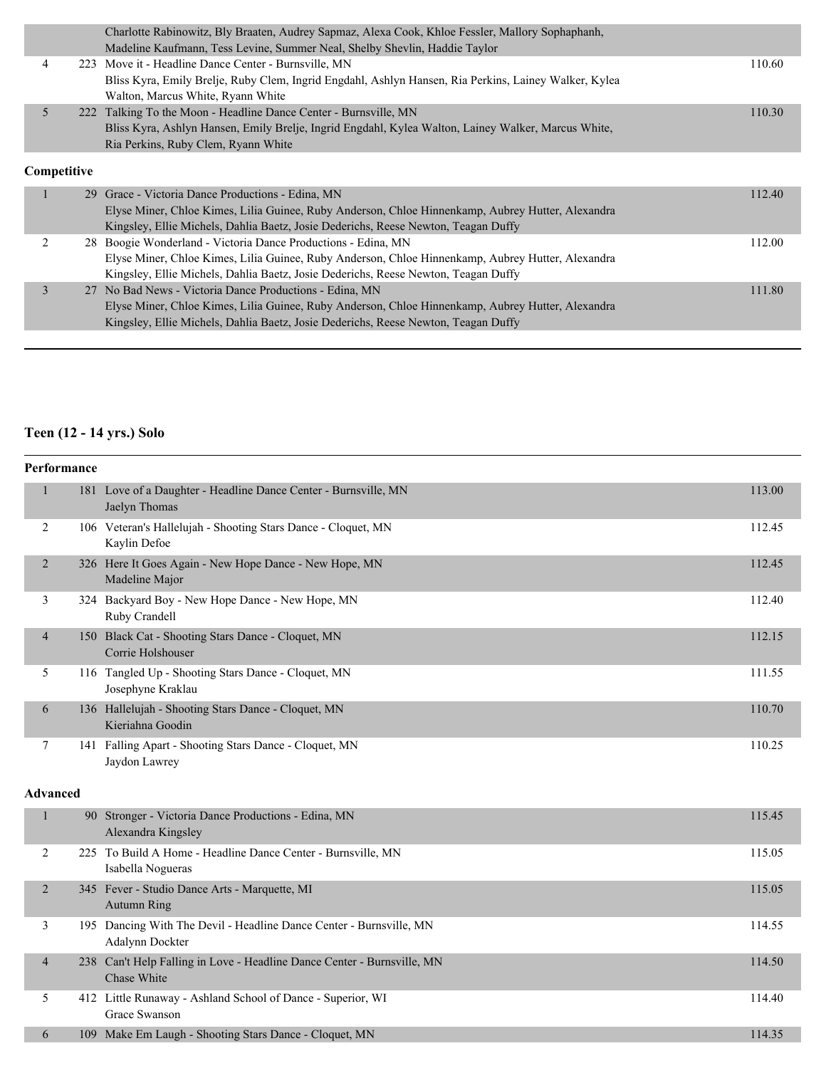| 223 Move it - Headline Dance Center - Burnsville, MN<br>4                                             | 110.60 |
|-------------------------------------------------------------------------------------------------------|--------|
|                                                                                                       |        |
| Bliss Kyra, Emily Brelje, Ruby Clem, Ingrid Engdahl, Ashlyn Hansen, Ria Perkins, Lainey Walker, Kylea |        |
| Walton, Marcus White, Ryann White                                                                     |        |
| 5<br>222 Talking To the Moon - Headline Dance Center - Burnsville, MN                                 | 110.30 |
| Bliss Kyra, Ashlyn Hansen, Emily Brelje, Ingrid Engdahl, Kylea Walton, Lainey Walker, Marcus White,   |        |
| Ria Perkins, Ruby Clem, Ryann White                                                                   |        |
| Competitive                                                                                           |        |
| 29 Grace - Victoria Dance Productions - Edina, MN                                                     | 112.40 |
| Elyse Miner, Chloe Kimes, Lilia Guinee, Ruby Anderson, Chloe Hinnenkamp, Aubrey Hutter, Alexandra     |        |
| Kingsley, Ellie Michels, Dahlia Baetz, Josie Dederichs, Reese Newton, Teagan Duffy                    |        |
| 2<br>28 Boogie Wonderland - Victoria Dance Productions - Edina, MN                                    | 112.00 |
| Elyse Miner, Chloe Kimes, Lilia Guinee, Ruby Anderson, Chloe Hinnenkamp, Aubrey Hutter, Alexandra     |        |
| Kingsley, Ellie Michels, Dahlia Baetz, Josie Dederichs, Reese Newton, Teagan Duffy                    |        |
| 27 No Bad News - Victoria Dance Productions - Edina, MN<br>3                                          | 111.80 |
| Elyse Miner, Chloe Kimes, Lilia Guinee, Ruby Anderson, Chloe Hinnenkamp, Aubrey Hutter, Alexandra     |        |
| Kingsley, Ellie Michels, Dahlia Baetz, Josie Dederichs, Reese Newton, Teagan Duffy                    |        |

#### **Teen (12 - 14 yrs.) Solo**

|                | Performance     |                                                                                        |        |
|----------------|-----------------|----------------------------------------------------------------------------------------|--------|
| $\mathbf{1}$   |                 | 181 Love of a Daughter - Headline Dance Center - Burnsville, MN<br>Jaelyn Thomas       | 113.00 |
| 2              |                 | 106 Veteran's Hallelujah - Shooting Stars Dance - Cloquet, MN<br>Kaylin Defoe          | 112.45 |
| $\overline{2}$ |                 | 326 Here It Goes Again - New Hope Dance - New Hope, MN<br>Madeline Major               | 112.45 |
| 3              |                 | 324 Backyard Boy - New Hope Dance - New Hope, MN<br>Ruby Crandell                      | 112.40 |
| $\overline{4}$ |                 | 150 Black Cat - Shooting Stars Dance - Cloquet, MN<br>Corrie Holshouser                | 112.15 |
| 5              |                 | 116 Tangled Up - Shooting Stars Dance - Cloquet, MN<br>Josephyne Kraklau               | 111.55 |
| 6              |                 | 136 Hallelujah - Shooting Stars Dance - Cloquet, MN<br>Kieriahna Goodin                | 110.70 |
| 7              |                 | 141 Falling Apart - Shooting Stars Dance - Cloquet, MN<br>Jaydon Lawrey                | 110.25 |
|                | <b>Advanced</b> |                                                                                        |        |
| $\mathbf{1}$   |                 | 90 Stronger - Victoria Dance Productions - Edina, MN<br>Alexandra Kingsley             | 115.45 |
| 2              |                 | 225 To Build A Home - Headline Dance Center - Burnsville, MN<br>Isabella Nogueras      | 115.05 |
| $\overline{2}$ |                 | 345 Fever - Studio Dance Arts - Marquette, MI<br><b>Autumn Ring</b>                    | 115.05 |
| 3              |                 | 195 Dancing With The Devil - Headline Dance Center - Burnsville, MN<br>Adalynn Dockter | 114.55 |
| $\overline{4}$ |                 | 238 Can't Help Falling in Love - Headline Dance Center - Burnsville, MN<br>Chase White | 114.50 |
| 5              |                 | 412 Little Runaway - Ashland School of Dance - Superior, WI<br>Grace Swanson           | 114.40 |
| 6              |                 | 109 Make Em Laugh - Shooting Stars Dance - Cloquet, MN                                 | 114.35 |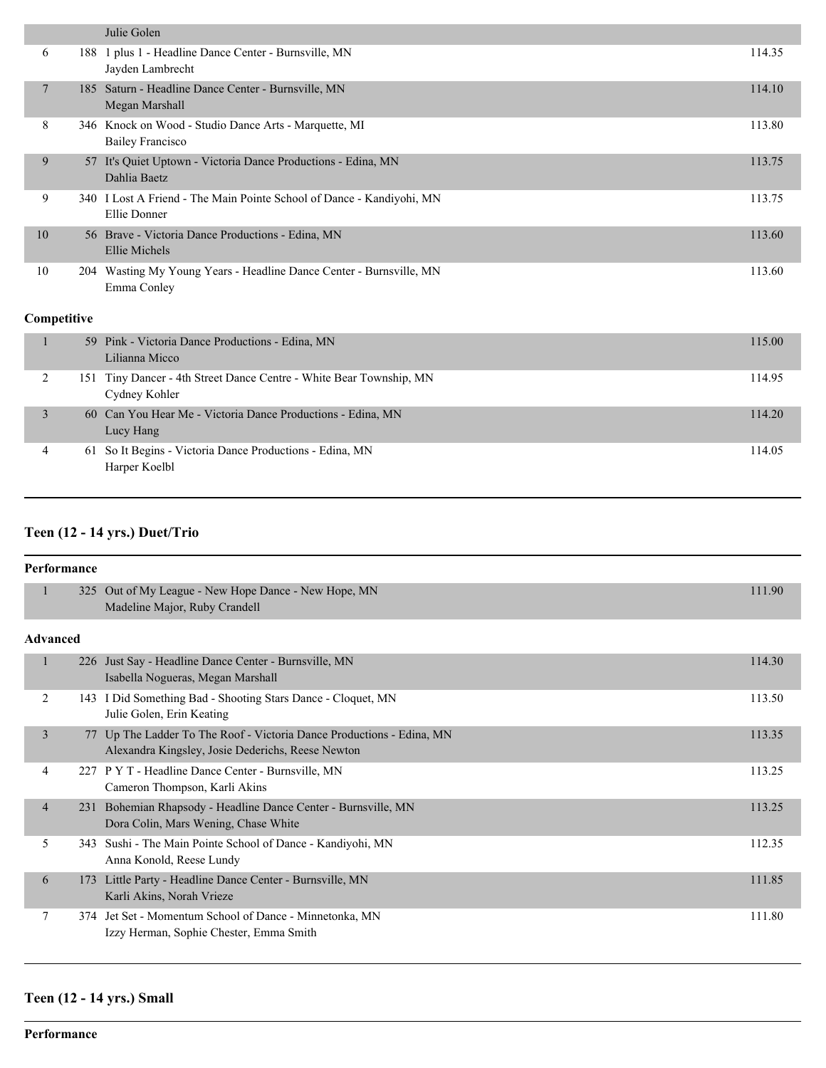|                |     | Julie Golen                                                                           |        |
|----------------|-----|---------------------------------------------------------------------------------------|--------|
| 6              |     | 188 1 plus 1 - Headline Dance Center - Burnsville, MN<br>Jayden Lambrecht             | 114.35 |
| $\overline{7}$ |     | 185 Saturn - Headline Dance Center - Burnsville, MN<br>Megan Marshall                 | 114.10 |
| 8              |     | 346 Knock on Wood - Studio Dance Arts - Marquette, MI<br><b>Bailey Francisco</b>      | 113.80 |
| 9              |     | 57 It's Quiet Uptown - Victoria Dance Productions - Edina, MN<br>Dahlia Baetz         | 113.75 |
| 9              |     | 340 I Lost A Friend - The Main Pointe School of Dance - Kandiyohi, MN<br>Ellie Donner | 113.75 |
| 10             |     | 56 Brave - Victoria Dance Productions - Edina, MN<br>Ellie Michels                    | 113.60 |
| 10             |     | 204 Wasting My Young Years - Headline Dance Center - Burnsville, MN<br>Emma Conley    | 113.60 |
| Competitive    |     |                                                                                       |        |
| 1              |     | 59 Pink - Victoria Dance Productions - Edina, MN<br>Lilianna Micco                    | 115.00 |
| 2              | 151 | Tiny Dancer - 4th Street Dance Centre - White Bear Township, MN<br>Cydney Kohler      | 114.95 |
| $\overline{3}$ | 60  | Can You Hear Me - Victoria Dance Productions - Edina, MN<br>Lucy Hang                 | 114.20 |
| $\overline{4}$ | 61  | So It Begins - Victoria Dance Productions - Edina, MN<br>Harper Koelbl                | 114.05 |

#### **Teen (12 - 14 yrs.) Duet/Trio**

|                | <b>Performance</b> |                                                                                                                            |        |  |
|----------------|--------------------|----------------------------------------------------------------------------------------------------------------------------|--------|--|
| $\mathbf{1}$   | 325                | Out of My League - New Hope Dance - New Hope, MN<br>Madeline Major, Ruby Crandell                                          | 111.90 |  |
|                | Advanced           |                                                                                                                            |        |  |
| 1              |                    | 226 Just Say - Headline Dance Center - Burnsville, MN<br>Isabella Nogueras, Megan Marshall                                 | 114.30 |  |
| 2              | 143                | I Did Something Bad - Shooting Stars Dance - Cloquet, MN<br>Julie Golen, Erin Keating                                      | 113.50 |  |
| 3              |                    | 77 Up The Ladder To The Roof - Victoria Dance Productions - Edina, MN<br>Alexandra Kingsley, Josie Dederichs, Reese Newton | 113.35 |  |
| 4              | 227                | P Y T - Headline Dance Center - Burnsville, MN<br>Cameron Thompson, Karli Akins                                            | 113.25 |  |
| $\overline{4}$ | 231                | Bohemian Rhapsody - Headline Dance Center - Burnsville, MN<br>Dora Colin, Mars Wening, Chase White                         | 113.25 |  |
| 5              | 343                | Sushi - The Main Pointe School of Dance - Kandiyohi, MN<br>Anna Konold, Reese Lundy                                        | 112.35 |  |
| 6              | 173                | Little Party - Headline Dance Center - Burnsville, MN<br>Karli Akins, Norah Vrieze                                         | 111.85 |  |
| $\tau$         | 374                | Jet Set - Momentum School of Dance - Minnetonka, MN<br>Izzy Herman, Sophie Chester, Emma Smith                             | 111.80 |  |

#### **Teen (12 - 14 yrs.) Small**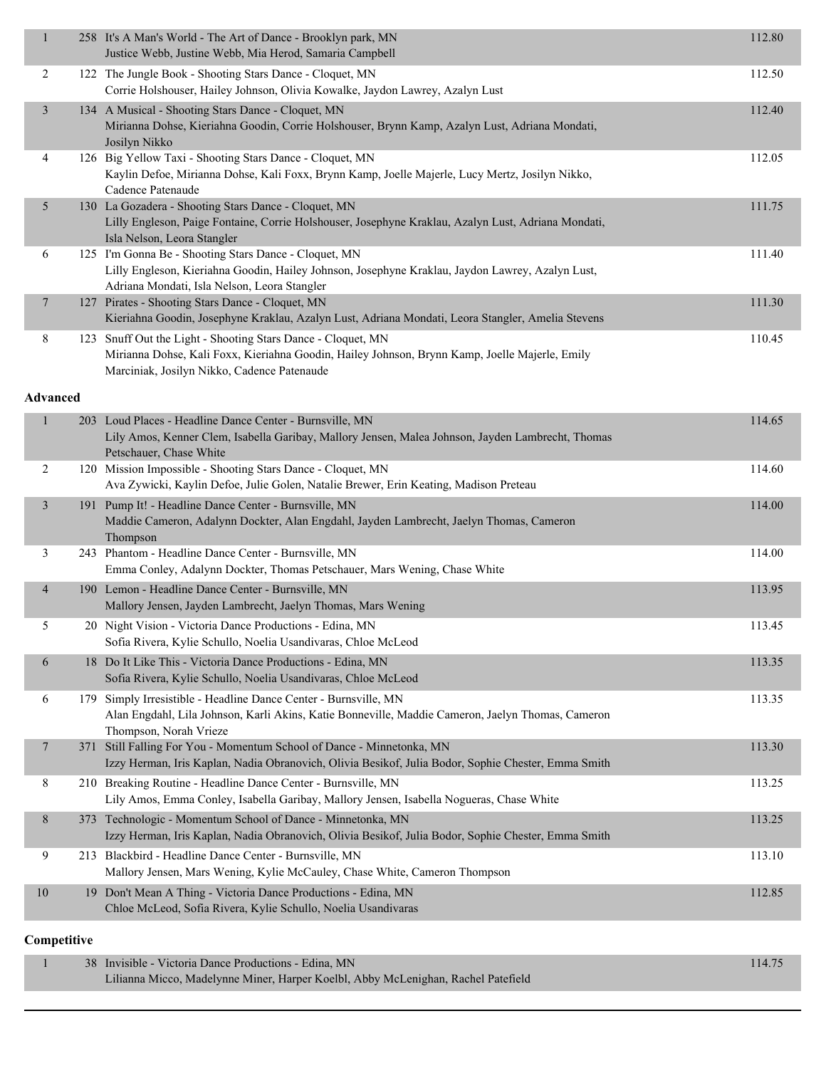| $\mathbf{1}$    | 258 It's A Man's World - The Art of Dance - Brooklyn park, MN<br>Justice Webb, Justine Webb, Mia Herod, Samaria Campbell                                                                                      | 112.80 |
|-----------------|---------------------------------------------------------------------------------------------------------------------------------------------------------------------------------------------------------------|--------|
| $\overline{2}$  | 122 The Jungle Book - Shooting Stars Dance - Cloquet, MN<br>Corrie Holshouser, Hailey Johnson, Olivia Kowalke, Jaydon Lawrey, Azalyn Lust                                                                     | 112.50 |
| $\mathfrak{Z}$  | 134 A Musical - Shooting Stars Dance - Cloquet, MN<br>Mirianna Dohse, Kieriahna Goodin, Corrie Holshouser, Brynn Kamp, Azalyn Lust, Adriana Mondati,<br>Josilyn Nikko                                         | 112.40 |
| 4               | 126 Big Yellow Taxi - Shooting Stars Dance - Cloquet, MN<br>Kaylin Defoe, Mirianna Dohse, Kali Foxx, Brynn Kamp, Joelle Majerle, Lucy Mertz, Josilyn Nikko,<br>Cadence Patenaude                              | 112.05 |
| 5               | 130 La Gozadera - Shooting Stars Dance - Cloquet, MN<br>Lilly Engleson, Paige Fontaine, Corrie Holshouser, Josephyne Kraklau, Azalyn Lust, Adriana Mondati,<br>Isla Nelson, Leora Stangler                    | 111.75 |
| 6               | 125 I'm Gonna Be - Shooting Stars Dance - Cloquet, MN<br>Lilly Engleson, Kieriahna Goodin, Hailey Johnson, Josephyne Kraklau, Jaydon Lawrey, Azalyn Lust,<br>Adriana Mondati, Isla Nelson, Leora Stangler     | 111.40 |
| $\overline{7}$  | 127 Pirates - Shooting Stars Dance - Cloquet, MN<br>Kieriahna Goodin, Josephyne Kraklau, Azalyn Lust, Adriana Mondati, Leora Stangler, Amelia Stevens                                                         | 111.30 |
| 8               | 123 Snuff Out the Light - Shooting Stars Dance - Cloquet, MN<br>Mirianna Dohse, Kali Foxx, Kieriahna Goodin, Hailey Johnson, Brynn Kamp, Joelle Majerle, Emily<br>Marciniak, Josilyn Nikko, Cadence Patenaude | 110.45 |
| <b>Advanced</b> |                                                                                                                                                                                                               |        |
| 1               | 203 Loud Places - Headline Dance Center - Burnsville, MN<br>Lily Amos, Kenner Clem, Isabella Garibay, Mallory Jensen, Malea Johnson, Jayden Lambrecht, Thomas<br>Petschauer, Chase White                      | 114.65 |
| 2               | 120 Mission Impossible - Shooting Stars Dance - Cloquet, MN<br>Ava Zywicki, Kaylin Defoe, Julie Golen, Natalie Brewer, Erin Keating, Madison Preteau                                                          | 114.60 |
| 3               | 191 Pump It! - Headline Dance Center - Burnsville, MN<br>Maddie Cameron, Adalynn Dockter, Alan Engdahl, Jayden Lambrecht, Jaelyn Thomas, Cameron<br>Thompson                                                  | 114.00 |
| 3               | 243 Phantom - Headline Dance Center - Burnsville, MN<br>Emma Conley, Adalynn Dockter, Thomas Petschauer, Mars Wening, Chase White                                                                             | 114.00 |
| $\overline{4}$  | 190 Lemon - Headline Dance Center - Burnsville, MN<br>Mallory Jensen, Jayden Lambrecht, Jaelyn Thomas, Mars Wening                                                                                            | 113.95 |
| 5               | 20 Night Vision - Victoria Dance Productions - Edina, MN<br>Sofia Rivera, Kylie Schullo, Noelia Usandivaras, Chloe McLeod                                                                                     | 113.45 |
| 6               | 18 Do It Like This - Victoria Dance Productions - Edina, MN<br>Sofia Rivera, Kylie Schullo, Noelia Usandivaras, Chloe McLeod                                                                                  | 113.35 |
| 6               | 179 Simply Irresistible - Headline Dance Center - Burnsville, MN<br>Alan Engdahl, Lila Johnson, Karli Akins, Katie Bonneville, Maddie Cameron, Jaelyn Thomas, Cameron<br>Thompson, Norah Vrieze               | 113.35 |
| 7               | 371 Still Falling For You - Momentum School of Dance - Minnetonka, MN<br>Izzy Herman, Iris Kaplan, Nadia Obranovich, Olivia Besikof, Julia Bodor, Sophie Chester, Emma Smith                                  | 113.30 |
| 8               | 210 Breaking Routine - Headline Dance Center - Burnsville, MN<br>Lily Amos, Emma Conley, Isabella Garibay, Mallory Jensen, Isabella Nogueras, Chase White                                                     | 113.25 |
| 8               | 373 Technologic - Momentum School of Dance - Minnetonka, MN<br>Izzy Herman, Iris Kaplan, Nadia Obranovich, Olivia Besikof, Julia Bodor, Sophie Chester, Emma Smith                                            | 113.25 |
| 9               | 213 Blackbird - Headline Dance Center - Burnsville, MN<br>Mallory Jensen, Mars Wening, Kylie McCauley, Chase White, Cameron Thompson                                                                          | 113.10 |
| 10              | 19 Don't Mean A Thing - Victoria Dance Productions - Edina, MN<br>Chloe McLeod, Sofia Rivera, Kylie Schullo, Noelia Usandivaras                                                                               | 112.85 |
| Competitive     |                                                                                                                                                                                                               |        |
| 1               | 38 Invisible - Victoria Dance Productions - Edina, MN                                                                                                                                                         | 114.75 |

Lilianna Micco, Madelynne Miner, Harper Koelbl, Abby McLenighan, Rachel Patefield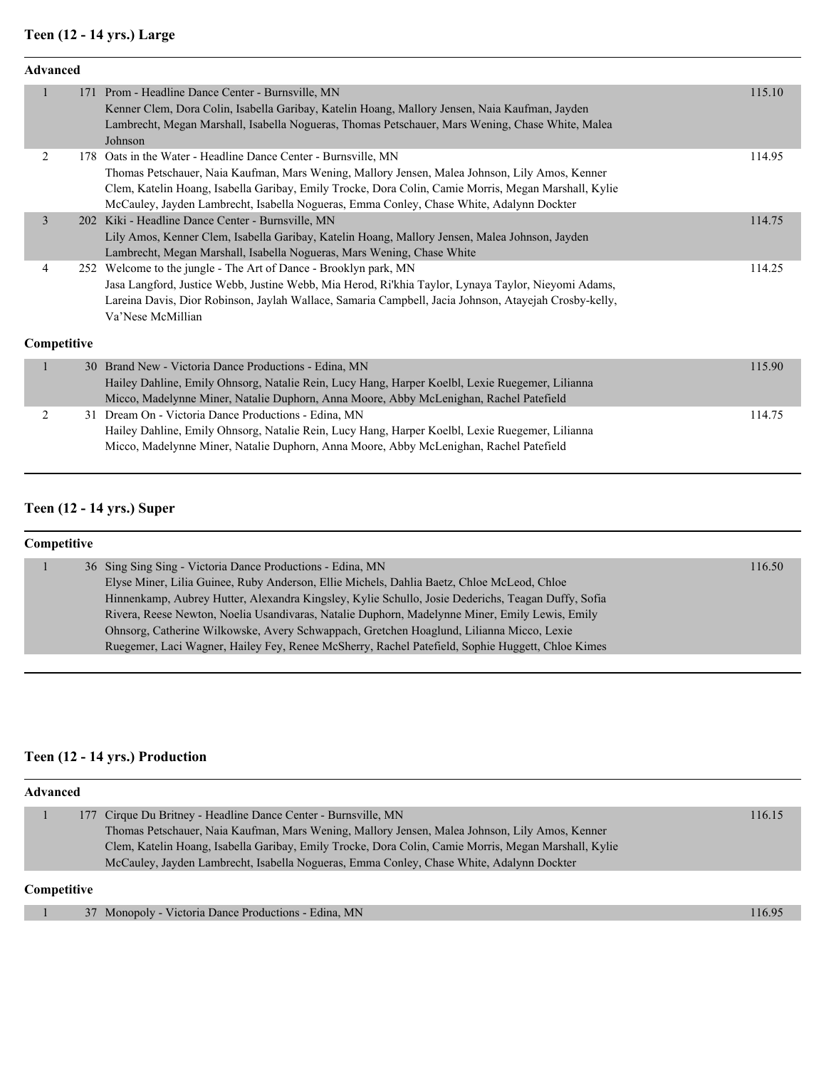#### **Teen (12 - 14 yrs.) Large**

| Advanced       |            |                                                                                                                                           |        |
|----------------|------------|-------------------------------------------------------------------------------------------------------------------------------------------|--------|
| $\mathbf{1}$   |            | 171 Prom - Headline Dance Center - Burnsville, MN                                                                                         | 115.10 |
|                |            | Kenner Clem, Dora Colin, Isabella Garibay, Katelin Hoang, Mallory Jensen, Naia Kaufman, Jayden                                            |        |
|                |            | Lambrecht, Megan Marshall, Isabella Nogueras, Thomas Petschauer, Mars Wening, Chase White, Malea                                          |        |
|                |            | Johnson                                                                                                                                   |        |
| $\overline{2}$ |            | 178 Oats in the Water - Headline Dance Center - Burnsville, MN                                                                            | 114.95 |
|                |            | Thomas Petschauer, Naia Kaufman, Mars Wening, Mallory Jensen, Malea Johnson, Lily Amos, Kenner                                            |        |
|                |            | Clem, Katelin Hoang, Isabella Garibay, Emily Trocke, Dora Colin, Camie Morris, Megan Marshall, Kylie                                      |        |
| $\overline{3}$ | <b>202</b> | McCauley, Jayden Lambrecht, Isabella Nogueras, Emma Conley, Chase White, Adalynn Dockter<br>Kiki - Headline Dance Center - Burnsville, MN | 114.75 |
|                |            | Lily Amos, Kenner Clem, Isabella Garibay, Katelin Hoang, Mallory Jensen, Malea Johnson, Jayden                                            |        |
|                |            | Lambrecht, Megan Marshall, Isabella Nogueras, Mars Wening, Chase White                                                                    |        |
| $\overline{4}$ |            | 252 Welcome to the jungle - The Art of Dance - Brooklyn park, MN                                                                          | 114.25 |
|                |            | Jasa Langford, Justice Webb, Justine Webb, Mia Herod, Ri'khia Taylor, Lynaya Taylor, Nieyomi Adams,                                       |        |
|                |            | Lareina Davis, Dior Robinson, Jaylah Wallace, Samaria Campbell, Jacia Johnson, Atayejah Crosby-kelly,                                     |        |
|                |            | Va'Nese McMillian                                                                                                                         |        |
|                |            |                                                                                                                                           |        |
| Competitive    |            |                                                                                                                                           |        |
| $\mathbf{1}$   |            | 30 Brand New - Victoria Dance Productions - Edina, MN                                                                                     | 115.90 |
|                |            | Hailey Dahline, Emily Ohnsorg, Natalie Rein, Lucy Hang, Harper Koelbl, Lexie Ruegemer, Lilianna                                           |        |
|                |            | Micco, Madelynne Miner, Natalie Duphorn, Anna Moore, Abby McLenighan, Rachel Patefield                                                    |        |
| $\overline{2}$ |            | 31 Dream On - Victoria Dance Productions - Edina, MN                                                                                      | 114.75 |
|                |            | Hailey Dahline, Emily Ohnsorg, Natalie Rein, Lucy Hang, Harper Koelbl, Lexie Ruegemer, Lilianna                                           |        |
|                |            | Micco, Madelynne Miner, Natalie Duphorn, Anna Moore, Abby McLenighan, Rachel Patefield                                                    |        |

### **Teen (12 - 14 yrs.) Super**

| Competitive |                                                                                                    |        |
|-------------|----------------------------------------------------------------------------------------------------|--------|
|             | 36 Sing Sing Sing - Victoria Dance Productions - Edina, MN                                         | 116.50 |
|             | Elyse Miner, Lilia Guinee, Ruby Anderson, Ellie Michels, Dahlia Baetz, Chloe McLeod, Chloe         |        |
|             | Hinnenkamp, Aubrey Hutter, Alexandra Kingsley, Kylie Schullo, Josie Dederichs, Teagan Duffy, Sofia |        |
|             | Rivera, Reese Newton, Noelia Usandivaras, Natalie Duphorn, Madelynne Miner, Emily Lewis, Emily     |        |
|             | Ohnsorg, Catherine Wilkowske, Avery Schwappach, Gretchen Hoaglund, Lilianna Micco, Lexie           |        |
|             | Ruegemer, Laci Wagner, Hailey Fey, Renee McSherry, Rachel Patefield, Sophie Huggett, Chloe Kimes   |        |

#### **Teen (12 - 14 yrs.) Production**

| <b>Advanced</b>                                                                                      |        |  |  |
|------------------------------------------------------------------------------------------------------|--------|--|--|
| 177 Cirque Du Britney - Headline Dance Center - Burnsville, MN                                       | 116.15 |  |  |
| Thomas Petschauer, Naia Kaufman, Mars Wening, Mallory Jensen, Malea Johnson, Lily Amos, Kenner       |        |  |  |
| Clem, Katelin Hoang, Isabella Garibay, Emily Trocke, Dora Colin, Camie Morris, Megan Marshall, Kylie |        |  |  |
| McCauley, Jayden Lambrecht, Isabella Nogueras, Emma Conley, Chase White, Adalynn Dockter             |        |  |  |
| <b>Competitive</b>                                                                                   |        |  |  |

| 37 Monopoly - Victoria Dance Productions - Edina, MN | 16.95 |
|------------------------------------------------------|-------|
|                                                      |       |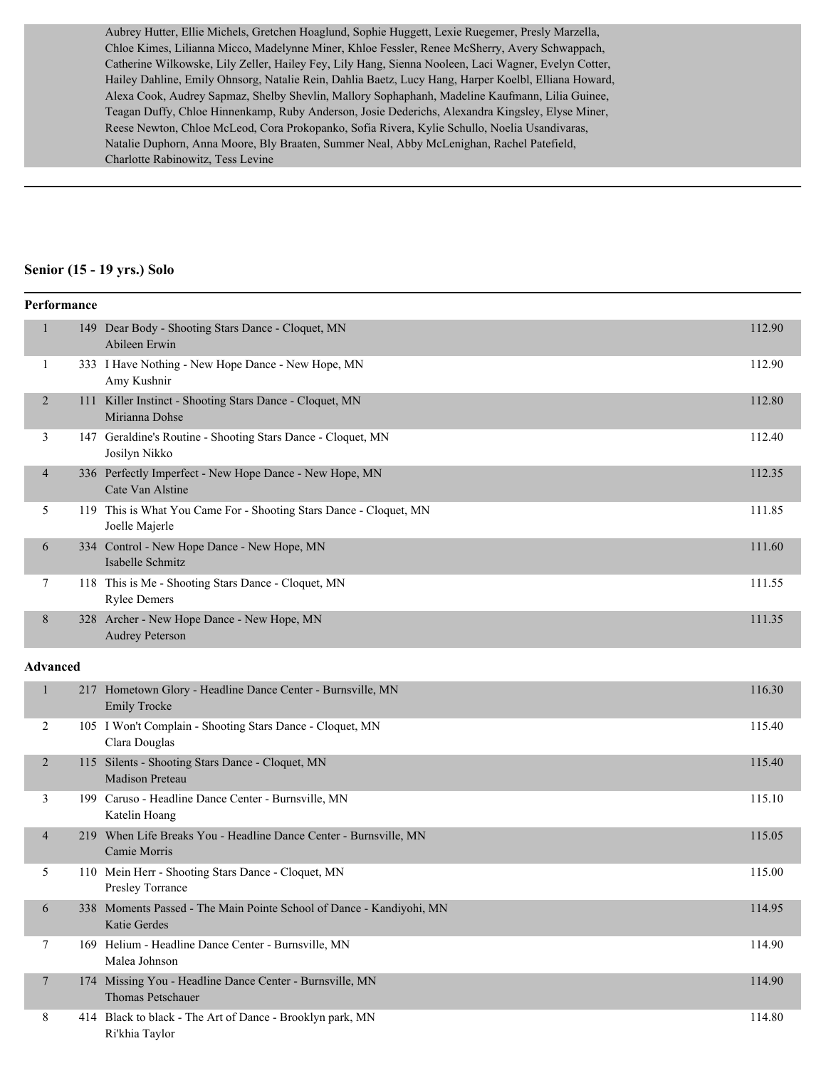Aubrey Hutter, Ellie Michels, Gretchen Hoaglund, Sophie Huggett, Lexie Ruegemer, Presly Marzella, Chloe Kimes, Lilianna Micco, Madelynne Miner, Khloe Fessler, Renee McSherry, Avery Schwappach, Catherine Wilkowske, Lily Zeller, Hailey Fey, Lily Hang, Sienna Nooleen, Laci Wagner, Evelyn Cotter, Hailey Dahline, Emily Ohnsorg, Natalie Rein, Dahlia Baetz, Lucy Hang, Harper Koelbl, Elliana Howard, Alexa Cook, Audrey Sapmaz, Shelby Shevlin, Mallory Sophaphanh, Madeline Kaufmann, Lilia Guinee, Teagan Duffy, Chloe Hinnenkamp, Ruby Anderson, Josie Dederichs, Alexandra Kingsley, Elyse Miner, Reese Newton, Chloe McLeod, Cora Prokopanko, Sofia Rivera, Kylie Schullo, Noelia Usandivaras, Natalie Duphorn, Anna Moore, Bly Braaten, Summer Neal, Abby McLenighan, Rachel Patefield, Charlotte Rabinowitz, Tess Levine

#### **Senior (15 - 19 yrs.) Solo**

|                 | Performance |                                                                                      |        |
|-----------------|-------------|--------------------------------------------------------------------------------------|--------|
| $\mathbf{1}$    |             | 149 Dear Body - Shooting Stars Dance - Cloquet, MN<br>Abileen Erwin                  | 112.90 |
| 1               |             | 333 I Have Nothing - New Hope Dance - New Hope, MN<br>Amy Kushnir                    | 112.90 |
| $\overline{2}$  |             | 111 Killer Instinct - Shooting Stars Dance - Cloquet, MN<br>Mirianna Dohse           | 112.80 |
| 3               |             | 147 Geraldine's Routine - Shooting Stars Dance - Cloquet, MN<br>Josilyn Nikko        | 112.40 |
| $\overline{4}$  |             | 336 Perfectly Imperfect - New Hope Dance - New Hope, MN<br>Cate Van Alstine          | 112.35 |
| 5               |             | 119 This is What You Came For - Shooting Stars Dance - Cloquet, MN<br>Joelle Majerle | 111.85 |
| 6               |             | 334 Control - New Hope Dance - New Hope, MN<br>Isabelle Schmitz                      | 111.60 |
| 7               |             | 118 This is Me - Shooting Stars Dance - Cloquet, MN<br><b>Rylee Demers</b>           | 111.55 |
| 8               |             | 328 Archer - New Hope Dance - New Hope, MN<br><b>Audrey Peterson</b>                 | 111.35 |
| <b>Advanced</b> |             |                                                                                      |        |
| $\mathbf{1}$    |             | 217 Hometown Glory - Headline Dance Center - Burnsville, MN<br><b>Emily Trocke</b>   | 116.30 |
| 2               |             | 105 I Won't Complain - Shooting Stars Dance - Cloquet, MN<br>Clara Douglas           | 115.40 |
| $\overline{2}$  |             | 115 Silents - Shooting Stars Dance - Cloquet, MN<br><b>Madison Preteau</b>           | 115.40 |
| 3               |             | 199 Caruso - Headline Dance Center - Burnsville, MN<br>Katelin Hoang                 | 115.10 |
| $\overline{4}$  |             | 219 When Life Breaks You - Headline Dance Center - Burnsville, MN<br>Camie Morris    | 115.05 |
| 5               |             | 110 Mein Herr - Shooting Stars Dance - Cloquet, MN<br>Presley Torrance               | 115.00 |
| 6               |             | 338 Moments Passed - The Main Pointe School of Dance - Kandiyohi, MN<br>Katie Gerdes | 114.95 |
| 7               |             | 169 Helium - Headline Dance Center - Burnsville, MN<br>Malea Johnson                 | 114.90 |
| 7               |             | 174 Missing You - Headline Dance Center - Burnsville, MN<br>Thomas Petschauer        | 114.90 |
| 8               |             | 414 Black to black - The Art of Dance - Brooklyn park, MN<br>Ri'khia Taylor          | 114.80 |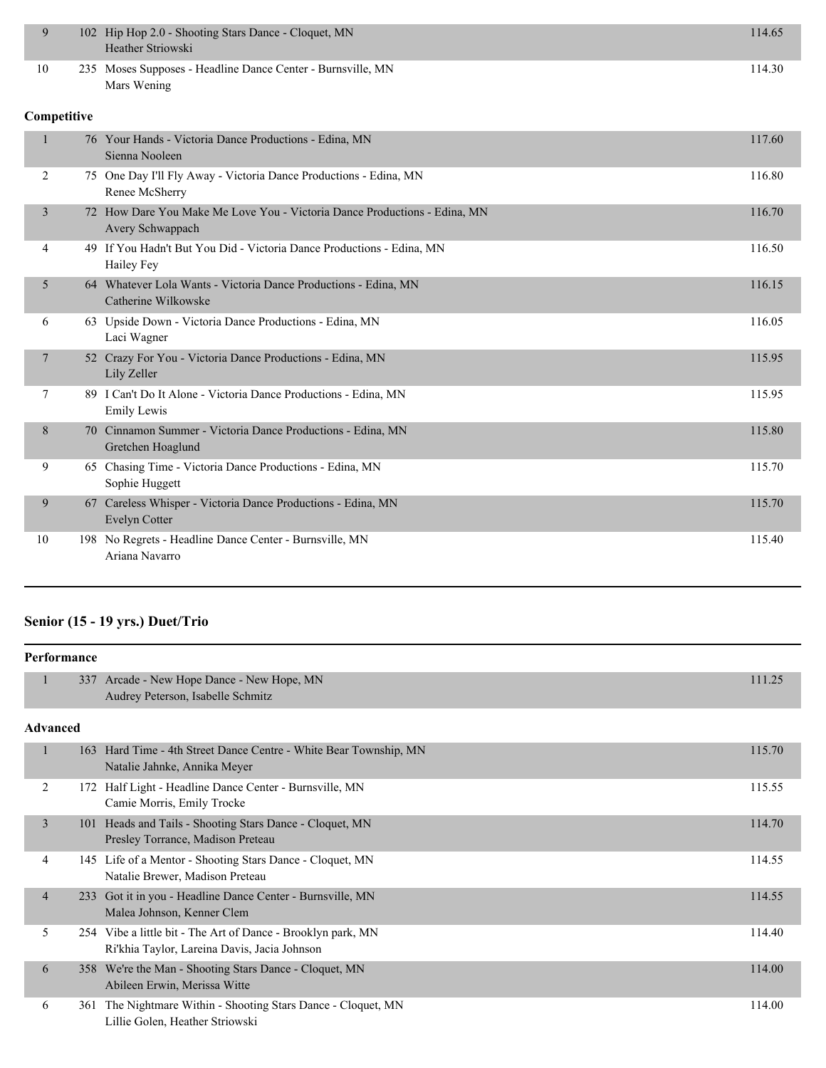| 9              | 102 Hip Hop 2.0 - Shooting Stars Dance - Cloquet, MN<br>Heather Striowski                     | 114.65 |
|----------------|-----------------------------------------------------------------------------------------------|--------|
| 10             | 235 Moses Supposes - Headline Dance Center - Burnsville, MN<br>Mars Wening                    | 114.30 |
| Competitive    |                                                                                               |        |
| 1              | 76 Your Hands - Victoria Dance Productions - Edina, MN<br>Sienna Nooleen                      | 117.60 |
| 2              | 75 One Day I'll Fly Away - Victoria Dance Productions - Edina, MN<br>Renee McSherry           | 116.80 |
| 3              | 72 How Dare You Make Me Love You - Victoria Dance Productions - Edina, MN<br>Avery Schwappach | 116.70 |
| 4              | 49 If You Hadn't But You Did - Victoria Dance Productions - Edina, MN<br>Hailey Fey           | 116.50 |
| 5              | 64 Whatever Lola Wants - Victoria Dance Productions - Edina, MN<br>Catherine Wilkowske        | 116.15 |
| 6              | 63 Upside Down - Victoria Dance Productions - Edina, MN<br>Laci Wagner                        | 116.05 |
| $\overline{7}$ | 52 Crazy For You - Victoria Dance Productions - Edina, MN<br>Lily Zeller                      | 115.95 |
| 7              | 89 I Can't Do It Alone - Victoria Dance Productions - Edina, MN<br><b>Emily Lewis</b>         | 115.95 |
| 8              | 70 Cinnamon Summer - Victoria Dance Productions - Edina, MN<br>Gretchen Hoaglund              | 115.80 |
| 9              | 65 Chasing Time - Victoria Dance Productions - Edina, MN<br>Sophie Huggett                    | 115.70 |
| 9              | 67 Careless Whisper - Victoria Dance Productions - Edina, MN<br><b>Evelyn Cotter</b>          | 115.70 |
| 10             | 198 No Regrets - Headline Dance Center - Burnsville, MN<br>Ariana Navarro                     | 115.40 |

#### **Senior (15 - 19 yrs.) Duet/Trio**

|                 | Performance |                                                                                                              |        |  |
|-----------------|-------------|--------------------------------------------------------------------------------------------------------------|--------|--|
| $\mathbf{1}$    |             | 337 Arcade - New Hope Dance - New Hope, MN<br>Audrey Peterson, Isabelle Schmitz                              | 111.25 |  |
| <b>Advanced</b> |             |                                                                                                              |        |  |
| 1               | 163         | Hard Time - 4th Street Dance Centre - White Bear Township, MN<br>Natalie Jahnke, Annika Meyer                | 115.70 |  |
| $\overline{2}$  |             | 172 Half Light - Headline Dance Center - Burnsville, MN<br>Camie Morris, Emily Trocke                        | 115.55 |  |
| 3               | 101         | Heads and Tails - Shooting Stars Dance - Cloquet, MN<br>Presley Torrance, Madison Preteau                    | 114.70 |  |
| 4               |             | 145 Life of a Mentor - Shooting Stars Dance - Cloquet, MN<br>Natalie Brewer, Madison Preteau                 | 114.55 |  |
| $\overline{4}$  | 233         | Got it in you - Headline Dance Center - Burnsville, MN<br>Malea Johnson, Kenner Clem                         | 114.55 |  |
| 5               |             | 254 Vibe a little bit - The Art of Dance - Brooklyn park, MN<br>Ri'khia Taylor, Lareina Davis, Jacia Johnson | 114.40 |  |
| 6               |             | 358 We're the Man - Shooting Stars Dance - Cloquet, MN<br>Abileen Erwin, Merissa Witte                       | 114.00 |  |
| 6               | 361         | The Nightmare Within - Shooting Stars Dance - Cloquet, MN<br>Lillie Golen, Heather Striowski                 | 114.00 |  |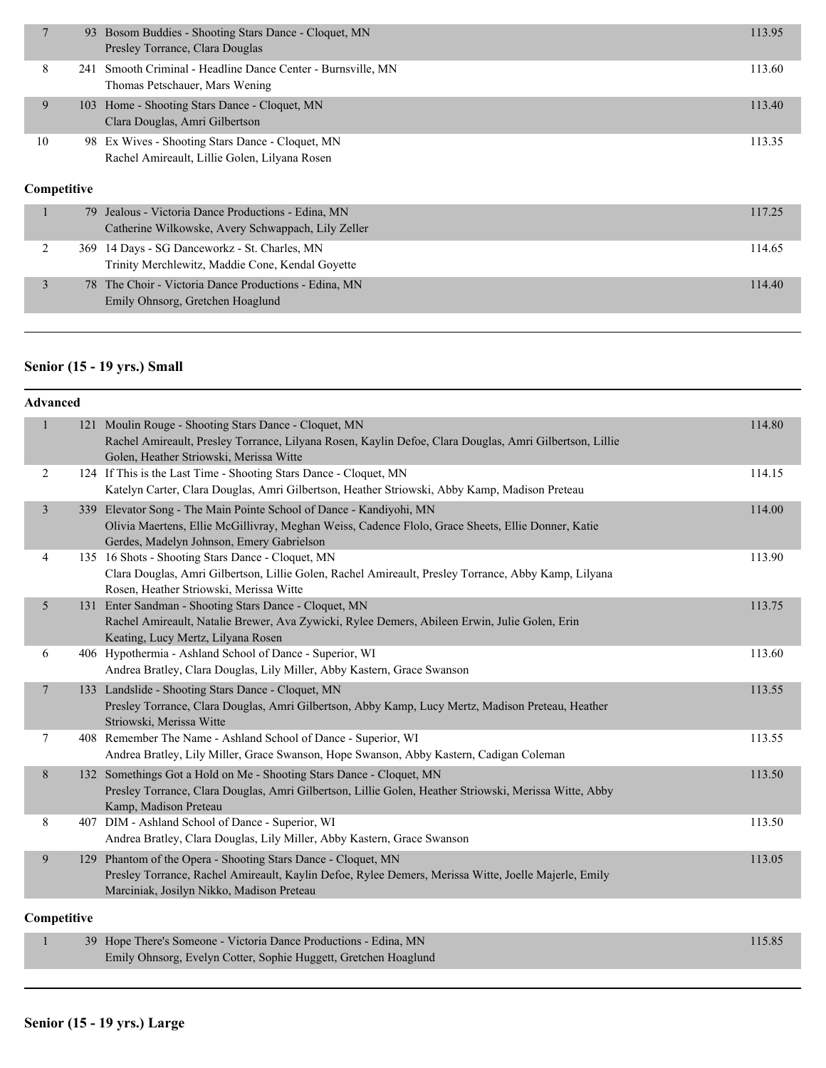|  | 7                 | 93  | Bosom Buddies - Shooting Stars Dance - Cloquet, MN<br>Presley Torrance, Clara Douglas                  | 113.95 |
|--|-------------------|-----|--------------------------------------------------------------------------------------------------------|--------|
|  | 8                 | 241 | Smooth Criminal - Headline Dance Center - Burnsville, MN<br>Thomas Petschauer, Mars Wening             | 113.60 |
|  | 9                 | 103 | Home - Shooting Stars Dance - Cloquet, MN<br>Clara Douglas, Amri Gilbertson                            | 113.40 |
|  | 10<br>Competitive |     | 98 Ex Wives - Shooting Stars Dance - Cloquet, MN<br>Rachel Amireault, Lillie Golen, Lilyana Rosen      | 113.35 |
|  | $\mathbf{1}$      | 79  | Jealous - Victoria Dance Productions - Edina, MN<br>Catherine Wilkowske, Avery Schwappach, Lily Zeller | 117.25 |
|  | 2                 | 369 | 14 Days - SG Danceworkz - St. Charles, MN<br>Trinity Merchlewitz, Maddie Cone, Kendal Goyette          | 114.65 |
|  | 3                 | 78  | The Choir - Victoria Dance Productions - Edina, MN<br>Emily Ohnsorg, Gretchen Hoaglund                 | 114.40 |

## **Senior (15 - 19 yrs.) Small**

| <b>Advanced</b> |             |                                                                                                                                                                                                                        |        |
|-----------------|-------------|------------------------------------------------------------------------------------------------------------------------------------------------------------------------------------------------------------------------|--------|
| $\mathbf{1}$    |             | 121 Moulin Rouge - Shooting Stars Dance - Cloquet, MN<br>Rachel Amireault, Presley Torrance, Lilyana Rosen, Kaylin Defoe, Clara Douglas, Amri Gilbertson, Lillie<br>Golen, Heather Striowski, Merissa Witte            | 114.80 |
| 2               |             | 124 If This is the Last Time - Shooting Stars Dance - Cloquet, MN<br>Katelyn Carter, Clara Douglas, Amri Gilbertson, Heather Striowski, Abby Kamp, Madison Preteau                                                     | 114.15 |
| 3               |             | 339 Elevator Song - The Main Pointe School of Dance - Kandiyohi, MN<br>Olivia Maertens, Ellie McGillivray, Meghan Weiss, Cadence Flolo, Grace Sheets, Ellie Donner, Katie<br>Gerdes, Madelyn Johnson, Emery Gabrielson | 114.00 |
| 4               |             | 135 16 Shots - Shooting Stars Dance - Cloquet, MN<br>Clara Douglas, Amri Gilbertson, Lillie Golen, Rachel Amireault, Presley Torrance, Abby Kamp, Lilyana<br>Rosen, Heather Striowski, Merissa Witte                   | 113.90 |
| $5\overline{)}$ |             | 131 Enter Sandman - Shooting Stars Dance - Cloquet, MN<br>Rachel Amireault, Natalie Brewer, Ava Zywicki, Rylee Demers, Abileen Erwin, Julie Golen, Erin<br>Keating, Lucy Mertz, Lilyana Rosen                          | 113.75 |
| 6               |             | 406 Hypothermia - Ashland School of Dance - Superior, WI<br>Andrea Bratley, Clara Douglas, Lily Miller, Abby Kastern, Grace Swanson                                                                                    | 113.60 |
| $7\phantom{.0}$ |             | 133 Landslide - Shooting Stars Dance - Cloquet, MN<br>Presley Torrance, Clara Douglas, Amri Gilbertson, Abby Kamp, Lucy Mertz, Madison Preteau, Heather<br>Striowski, Merissa Witte                                    | 113.55 |
| $\overline{7}$  |             | 408 Remember The Name - Ashland School of Dance - Superior, WI<br>Andrea Bratley, Lily Miller, Grace Swanson, Hope Swanson, Abby Kastern, Cadigan Coleman                                                              | 113.55 |
| $8\,$           |             | 132 Somethings Got a Hold on Me - Shooting Stars Dance - Cloquet, MN<br>Presley Torrance, Clara Douglas, Amri Gilbertson, Lillie Golen, Heather Striowski, Merissa Witte, Abby<br>Kamp, Madison Preteau                | 113.50 |
| 8               |             | 407 DIM - Ashland School of Dance - Superior, WI<br>Andrea Bratley, Clara Douglas, Lily Miller, Abby Kastern, Grace Swanson                                                                                            | 113.50 |
| 9               |             | 129 Phantom of the Opera - Shooting Stars Dance - Cloquet, MN<br>Presley Torrance, Rachel Amireault, Kaylin Defoe, Rylee Demers, Merissa Witte, Joelle Majerle, Emily<br>Marciniak, Josilyn Nikko, Madison Preteau     | 113.05 |
|                 | Competitive |                                                                                                                                                                                                                        |        |
|                 |             | 39 Hope There's Someone - Victoria Dance Productions - Edina MN                                                                                                                                                        | 11585  |